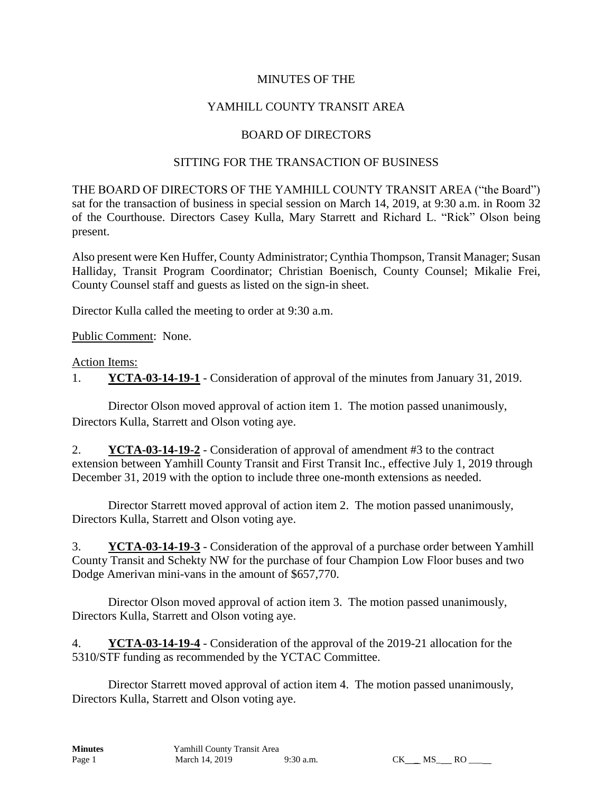## MINUTES OF THE

# YAMHILL COUNTY TRANSIT AREA

### BOARD OF DIRECTORS

### SITTING FOR THE TRANSACTION OF BUSINESS

THE BOARD OF DIRECTORS OF THE YAMHILL COUNTY TRANSIT AREA ("the Board") sat for the transaction of business in special session on March 14, 2019, at 9:30 a.m. in Room 32 of the Courthouse. Directors Casey Kulla, Mary Starrett and Richard L. "Rick" Olson being present.

Also present were Ken Huffer, County Administrator; Cynthia Thompson, Transit Manager; Susan Halliday, Transit Program Coordinator; Christian Boenisch, County Counsel; Mikalie Frei, County Counsel staff and guests as listed on the sign-in sheet.

Director Kulla called the meeting to order at 9:30 a.m.

Public Comment: None.

#### Action Items:

1. **YCTA-03-14-19-1** - Consideration of approval of the minutes from January 31, 2019.

Director Olson moved approval of action item 1. The motion passed unanimously, Directors Kulla, Starrett and Olson voting aye.

2. **YCTA-03-14-19-2** - Consideration of approval of amendment #3 to the contract extension between Yamhill County Transit and First Transit Inc., effective July 1, 2019 through December 31, 2019 with the option to include three one-month extensions as needed.

Director Starrett moved approval of action item 2. The motion passed unanimously, Directors Kulla, Starrett and Olson voting aye.

3. **YCTA-03-14-19-3** - Consideration of the approval of a purchase order between Yamhill County Transit and Schekty NW for the purchase of four Champion Low Floor buses and two Dodge Amerivan mini-vans in the amount of \$657,770.

Director Olson moved approval of action item 3. The motion passed unanimously, Directors Kulla, Starrett and Olson voting aye.

4. **YCTA-03-14-19-4** - Consideration of the approval of the 2019-21 allocation for the 5310/STF funding as recommended by the YCTAC Committee.

Director Starrett moved approval of action item 4. The motion passed unanimously, Directors Kulla, Starrett and Olson voting aye.